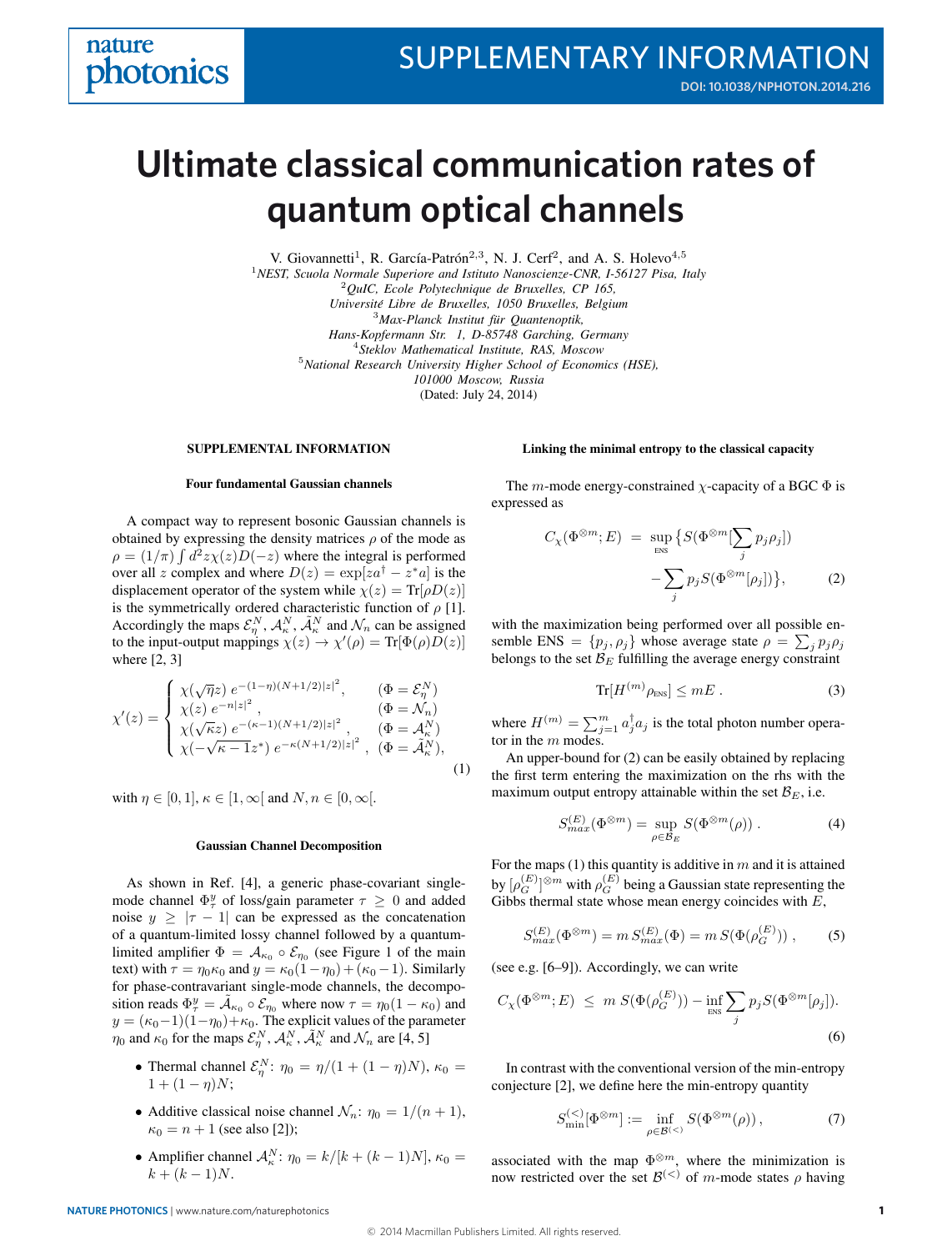# **quantum optical channels Ultimate classical communication rates of**

V. Giovannetti<sup>1</sup>, R. García-Patrón<sup>2,3</sup>, N. J. Cerf<sup>2</sup>, and A. S. Holevo<sup>4,5</sup> <sup>1</sup>*NEST, Scuola Normale Superiore and Istituto Nanoscienze-CNR, I-56127 Pisa, Italy* <sup>2</sup>*QuIC, Ecole Polytechnique de Bruxelles, CP 165, Universite Libre de Bruxelles, 1050 Bruxelles, Belgium ´* <sup>3</sup>*Max-Planck Institut fur Quantenoptik, ¨ Hans-Kopfermann Str. 1, D-85748 Garching, Germany* <sup>4</sup>*Steklov Mathematical Institute, RAS, Moscow* <sup>5</sup>*National Research University Higher School of Economics (HSE), 101000 Moscow, Russia* (Dated: July 24, 2014)

## SUPPLEMENTAL INFORMATION

#### Four fundamental Gaussian channels

A compact way to represent bosonic Gaussian channels is obtained by expressing the density matrices  $\rho$  of the mode as  $\rho = (1/\pi) \int d^2z \chi(z) D(-z)$  where the integral is performed over all z complex and where  $D(z) = \exp[za^{\dagger} - z^* a]$  is the displacement operator of the system while  $\chi(z) = Tr[\rho D(z)]$ is the symmetrically ordered characteristic function of  $\rho$  [1]. Accordingly the maps  $\mathcal{E}_\eta^N$ ,  $\mathcal{A}_\kappa^N$ ,  $\tilde{\mathcal{A}}_\kappa^N$  and  $\mathcal{N}_n$  can be assigned to the input-output mappings  $\chi(z) \to \chi'(\rho) = \text{Tr}[\Phi(\rho)D(z)]$ where [2, 3]

$$
\chi'(z) = \begin{cases}\n\chi(\sqrt{\eta}z) e^{-(1-\eta)(N+1/2)|z|^2}, & (\Phi = \mathcal{E}_{\eta}^N) \\
\chi(z) e^{-n|z|^2}, & (\Phi = \mathcal{N}_n) \\
\chi(\sqrt{\kappa}z) e^{-(\kappa-1)(N+1/2)|z|^2}, & (\Phi = \mathcal{A}_{\kappa}^N) \\
\chi(-\sqrt{\kappa-1}z^*) e^{-\kappa(N+1/2)|z|^2}, & (\Phi = \tilde{\mathcal{A}}_{\kappa}^N),\n\end{cases}
$$
\n(1)

with  $\eta \in [0, 1]$ ,  $\kappa \in [1, \infty]$  and  $N, n \in [0, \infty]$ .

#### Gaussian Channel Decomposition

As shown in Ref. [4], a generic phase-covariant singlemode channel  $\Phi^y_\tau$  of loss/gain parameter  $\tau \geq 0$  and added noise  $y \ge |\tau - 1|$  can be expressed as the concatenation of a quantum-limited lossy channel followed by a quantumlimited amplifier  $\Phi = A_{\kappa_0} \circ \mathcal{E}_{\eta_0}$  (see Figure 1 of the main text) with  $\tau = \eta_0 \kappa_0$  and  $y = \kappa_0(1 - \eta_0) + (\kappa_0 - 1)$ . Similarly for phase-contravariant single-mode channels, the decomposition reads  $\Phi^y_\tau = \tilde{\mathcal{A}}_{\kappa_0} \circ \mathcal{E}_{\eta_0}$  where now  $\tau = \eta_0 (1 - \kappa_0)$  and  $y = (\kappa_0-1)(1-\eta_0)+\kappa_0$ . The explicit values of the parameter  $\eta_0$  and  $\kappa_0$  for the maps  $\mathcal{E}_\eta^N$ ,  $\mathcal{A}_\kappa^N$ ,  $\tilde{\mathcal{A}}_\kappa^N$  and  $\mathcal{N}_n$  are [4, 5]

- Thermal channel  $\mathcal{E}_{\eta}^{N}$ :  $\eta_0 = \eta/(1 + (1 \eta)N)$ ,  $\kappa_0 =$  $1 + (1 - \eta)N;$
- Additive classical noise channel  $\mathcal{N}_n$ :  $\eta_0 = 1/(n+1)$ ,  $\kappa_0 = n + 1$  (see also [2]);
- Amplifier channel  $A_{\kappa}^N$ :  $\eta_0 = k/[k + (k-1)N]$ ,  $\kappa_0 =$  $k + (k-1)N$ .

#### Linking the minimal entropy to the classical capacity

The m-mode energy-constrained  $\chi$ -capacity of a BGC  $\Phi$  is expressed as

$$
C_{\chi}(\Phi^{\otimes m}; E) = \sup_{\text{ENS}} \left\{ S(\Phi^{\otimes m}[\sum_{j} p_{j}\rho_{j}]) - \sum_{j} p_{j} S(\Phi^{\otimes m}[\rho_{j}]) \right\}, \tag{2}
$$

with the maximization being performed over all possible ensemble ENS =  $\{p_j, \rho_j\}$  whose average state  $\rho = \sum_j p_j \rho_j$ belongs to the set  $\mathcal{B}_E$  fulfilling the average energy constraint

$$
\text{Tr}[H^{(m)}\rho_{\text{ENS}}] \le mE \ . \tag{3}
$$

where  $H^{(m)} = \sum_{j=1}^{m} a_j^{\dagger} a_j$  is the total photon number operator in the  $m$  modes.

An upper-bound for (2) can be easily obtained by replacing the first term entering the maximization on the rhs with the maximum output entropy attainable within the set  $\mathcal{B}_E$ , i.e.

$$
S_{max}^{(E)}(\Phi^{\otimes m}) = \sup_{\rho \in \mathcal{B}_E} S(\Phi^{\otimes m}(\rho)). \tag{4}
$$

For the maps (1) this quantity is additive in  $m$  and it is attained by  $[\rho_G^{(E)}]^{\otimes m}$  with  $\rho_G^{(E)}$  being a Gaussian state representing the Gibbs thermal state whose mean energy coincides with  $E$ ,

$$
S_{max}^{(E)}(\Phi^{\otimes m}) = m \, S_{max}^{(E)}(\Phi) = m \, S(\Phi(\rho_G^{(E)})) \;, \tag{5}
$$

(see e.g. [6–9]). Accordingly, we can write

$$
C_{\chi}(\Phi^{\otimes m}; E) \leq m S(\Phi(\rho_G^{(E)})) - \inf_{\text{ENS}} \sum_j p_j S(\Phi^{\otimes m}[\rho_j]).
$$
\n(6)

In contrast with the conventional version of the min-entropy conjecture [2], we define here the min-entropy quantity

$$
S_{\min}^{(<)}[\Phi^{\otimes m}] := \inf_{\rho \in \mathcal{B}^{(<)}} S(\Phi^{\otimes m}(\rho)),\tag{7}
$$

associated with the map  $\Phi^{\otimes m}$ , where the minimization is now restricted over the set  $\mathcal{B}^{(<)}$  of m-mode states  $\rho$  having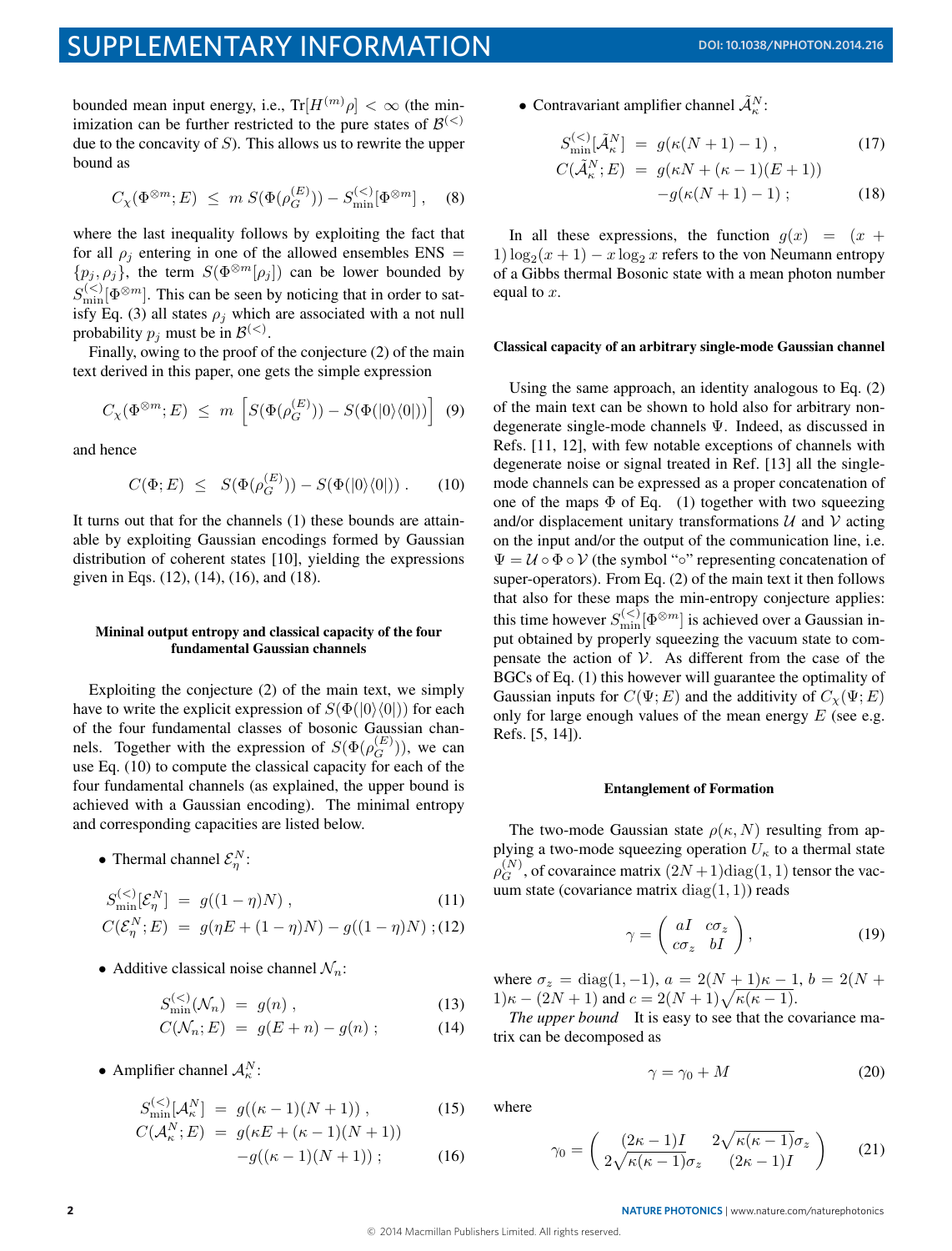bounded mean input energy, i.e.,  $\text{Tr}[H^{(m)}\rho] < \infty$  (the minimization can be further restricted to the pure states of  $\mathcal{B}^{(<)}$ due to the concavity of  $S$ ). This allows us to rewrite the upper bound as

$$
C_{\chi}(\Phi^{\otimes m}; E) \leq m S(\Phi(\rho_G^{(E)})) - S_{\text{min}}^{(<)}[\Phi^{\otimes m}], \quad (8)
$$

where the last inequality follows by exploiting the fact that for all  $\rho_i$  entering in one of the allowed ensembles ENS =  $\{p_j, \rho_j\}$ , the term  $S(\Phi^{\otimes m}[\rho_j])$  can be lower bounded by  $S_{\text{min}}^{(<)}[\Phi^{\otimes m}]$ . This can be seen by noticing that in order to satisfy Eq. (3) all states  $\rho_i$  which are associated with a not null probability  $p_j$  must be in  $\mathcal{B}^{(<)}$ .

Finally, owing to the proof of the conjecture (2) of the main text derived in this paper, one gets the simple expression

$$
C_{\chi}(\Phi^{\otimes m}; E) \leq m \left[ S(\Phi(\rho_G^{(E)})) - S(\Phi(|0\rangle\langle 0|)) \right] \tag{9}
$$

and hence

$$
C(\Phi; E) \leq S(\Phi(\rho_G^{(E)})) - S(\Phi(|0\rangle\langle 0|)) . \quad (10)
$$

It turns out that for the channels (1) these bounds are attainable by exploiting Gaussian encodings formed by Gaussian distribution of coherent states [10], yielding the expressions given in Eqs. (12), (14), (16), and (18).

# Mininal output entropy and classical capacity of the four fundamental Gaussian channels

Exploiting the conjecture (2) of the main text, we simply have to write the explicit expression of  $S(\Phi(|0\rangle\langle0|))$  for each of the four fundamental classes of bosonic Gaussian channels. Together with the expression of  $S(\Phi(\rho_G^{(E)}))$ , we can use Eq. (10) to compute the classical capacity for each of the four fundamental channels (as explained, the upper bound is achieved with a Gaussian encoding). The minimal entropy and corresponding capacities are listed below.

• Thermal channel  $\mathcal{E}_{\eta}^N$ :

$$
S_{\min}^{(<)}[\mathcal{E}_{\eta}^N] = g((1 - \eta)N) , \qquad (11)
$$

$$
C(\mathcal{E}_{\eta}^{N};E) = g(\eta E + (1 - \eta)N) - g((1 - \eta)N) ; (12)
$$

• Additive classical noise channel  $\mathcal{N}_n$ :

$$
S_{\min}^{(<)}(\mathcal{N}_n) = g(n) , \qquad (13)
$$

$$
C(\mathcal{N}_n; E) = g(E+n) - g(n) ; \qquad (14)
$$

• Amplifier channel  $A_{\kappa}^N$ :

$$
S_{\min}^{(<)}[{\cal A}_{\kappa}^N] = g((\kappa - 1)(N + 1)), \qquad (15)
$$

$$
C(\mathcal{A}_{\kappa}^{N}; E) = g(\kappa E + (\kappa - 1)(N + 1)) - g((\kappa - 1)(N + 1));
$$
 (16)

• Contravariant amplifier channel  $\tilde{\mathcal{A}}_k^N$ :

$$
S_{\min}^{(<)}[\tilde{\mathcal{A}}_{\kappa}^{N}] = g(\kappa(N+1)-1), \qquad (17)
$$
  

$$
C(\tilde{\mathcal{A}}_{\kappa}^{N}; E) = g(\kappa N + (\kappa - 1)(E+1))
$$

$$
-g(\kappa(N+1)-1)\t; \t(18)
$$

In all these expressions, the function  $g(x) = (x +$ 1)  $\log_2(x + 1) - x \log_2 x$  refers to the von Neumann entropy of a Gibbs thermal Bosonic state with a mean photon number equal to  $x$ .

# Classical capacity of an arbitrary single-mode Gaussian channel

Using the same approach, an identity analogous to Eq. (2) of the main text can be shown to hold also for arbitrary nondegenerate single-mode channels Ψ. Indeed, as discussed in Refs. [11, 12], with few notable exceptions of channels with degenerate noise or signal treated in Ref. [13] all the singlemode channels can be expressed as a proper concatenation of one of the maps  $\Phi$  of Eq. (1) together with two squeezing and/or displacement unitary transformations  $U$  and  $V$  acting on the input and/or the output of the communication line, i.e.  $\Psi = U \circ \Phi \circ V$  (the symbol " $\circ$ " representing concatenation of super-operators). From Eq. (2) of the main text it then follows that also for these maps the min-entropy conjecture applies: this time however  $S_{\min}^{(<)}[\Phi^{\otimes m}]$  is achieved over a Gaussian input obtained by properly squeezing the vacuum state to compensate the action of  $V$ . As different from the case of the BGCs of Eq. (1) this however will guarantee the optimality of Gaussian inputs for  $C(\Psi; E)$  and the additivity of  $C_{\chi}(\Psi; E)$ only for large enough values of the mean energy  $E$  (see e.g. Refs. [5, 14]).

## Entanglement of Formation

The two-mode Gaussian state  $\rho(\kappa, N)$  resulting from applying a two-mode squeezing operation  $U_{\kappa}$  to a thermal state  $\rho_G^{(N)}$ , of covaraince matrix  $(2N+1)$ diag $(1, 1)$  tensor the vacuum state (covariance matrix diag $(1, 1)$ ) reads

$$
\gamma = \left(\begin{array}{cc} aI & c\sigma_z \\ c\sigma_z & bI \end{array}\right),\tag{19}
$$

where  $\sigma_z = \text{diag}(1, -1)$ ,  $a = 2(N + 1)\kappa - 1$ ,  $b = 2(N + 1)\kappa$  $1)\kappa - (2N + 1)$  and  $c = 2(N + 1)\sqrt{\kappa(\kappa - 1)}$ .

*The upper bound* It is easy to see that the covariance matrix can be decomposed as

$$
\gamma = \gamma_0 + M \tag{20}
$$

where

$$
\gamma_0 = \begin{pmatrix} (2\kappa - 1)I & 2\sqrt{\kappa(\kappa - 1)}\sigma_z \\ 2\sqrt{\kappa(\kappa - 1)}\sigma_z & (2\kappa - 1)I \end{pmatrix} \tag{21}
$$

2